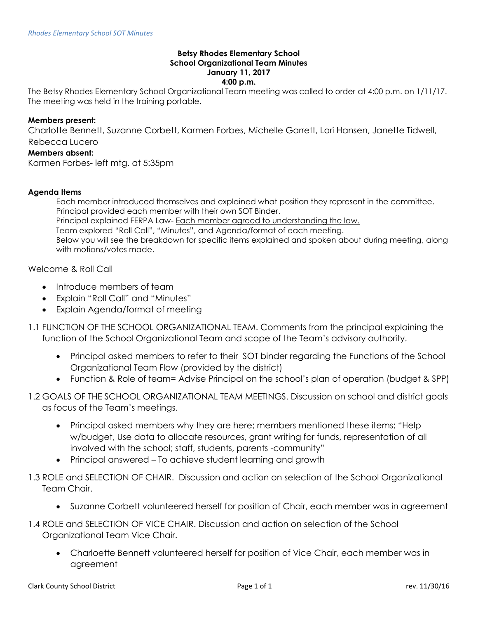## **Betsy Rhodes Elementary School School Organizational Team Minutes January 11, 2017 4:00 p.m.**

The Betsy Rhodes Elementary School Organizational Team meeting was called to order at 4:00 p.m. on 1/11/17. The meeting was held in the training portable.

## **Members present:**

Charlotte Bennett, Suzanne Corbett, Karmen Forbes, Michelle Garrett, Lori Hansen, Janette Tidwell, Rebecca Lucero

## **Members absent:**

Karmen Forbes- left mtg. at 5:35pm

## **Agenda Items**

Each member introduced themselves and explained what position they represent in the committee. Principal provided each member with their own SOT Binder. Principal explained FERPA Law- Each member agreed to understanding the law. Team explored "Roll Call", "Minutes", and Agenda/format of each meeting. Below you will see the breakdown for specific items explained and spoken about during meeting, along with motions/votes made.

Welcome & Roll Call

- Introduce members of team
- Explain "Roll Call" and "Minutes"
- Explain Agenda/format of meeting
- 1.1 FUNCTION OF THE SCHOOL ORGANIZATIONAL TEAM. Comments from the principal explaining the function of the School Organizational Team and scope of the Team's advisory authority.
	- Principal asked members to refer to their SOT binder regarding the Functions of the School Organizational Team Flow (provided by the district)
	- Function & Role of team= Advise Principal on the school's plan of operation (budget & SPP)
- 1.2 GOALS OF THE SCHOOL ORGANIZATIONAL TEAM MEETINGS. Discussion on school and district goals as focus of the Team's meetings.
	- Principal asked members why they are here; members mentioned these items; "Help w/budget, Use data to allocate resources, grant writing for funds, representation of all involved with the school; staff, students, parents -community"
	- Principal answered To achieve student learning and growth
- 1.3 ROLE and SELECTION OF CHAIR. Discussion and action on selection of the School Organizational Team Chair.
	- Suzanne Corbett volunteered herself for position of Chair, each member was in agreement
- 1.4 ROLE and SELECTION OF VICE CHAIR. Discussion and action on selection of the School Organizational Team Vice Chair.
	- Charloette Bennett volunteered herself for position of Vice Chair, each member was in agreement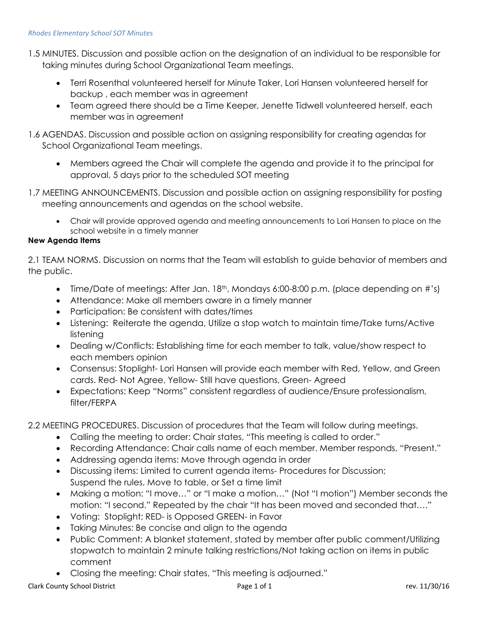- 1.5 MINUTES. Discussion and possible action on the designation of an individual to be responsible for taking minutes during School Organizational Team meetings.
	- Terri Rosenthal volunteered herself for Minute Taker, Lori Hansen volunteered herself for backup , each member was in agreement
	- Team agreed there should be a Time Keeper, Jenette Tidwell volunteered herself, each member was in agreement
- 1.6 AGENDAS. Discussion and possible action on assigning responsibility for creating agendas for School Organizational Team meetings.
	- Members agreed the Chair will complete the agenda and provide it to the principal for approval, 5 days prior to the scheduled SOT meeting
- 1.7 MEETING ANNOUNCEMENTS. Discussion and possible action on assigning responsibility for posting meeting announcements and agendas on the school website.
	- Chair will provide approved agenda and meeting announcements to Lori Hansen to place on the school website in a timely manner

# **New Agenda Items**

2.1 TEAM NORMS. Discussion on norms that the Team will establish to guide behavior of members and the public.

- Time/Date of meetings: After Jan. 18<sup>th</sup>, Mondays 6:00-8:00 p.m. (place depending on #'s)
- Attendance: Make all members aware in a timely manner
- Participation: Be consistent with dates/times
- Listening: Reiterate the agenda, Utilize a stop watch to maintain time/Take turns/Active listening
- Dealing w/Conflicts: Establishing time for each member to talk, value/show respect to each members opinion
- Consensus: Stoplight- Lori Hansen will provide each member with Red, Yellow, and Green cards. Red- Not Agree, Yellow- Still have questions, Green- Agreed
- Expectations: Keep "Norms" consistent regardless of audience/Ensure professionalism, filter/FERPA

2.2 MEETING PROCEDURES. Discussion of procedures that the Team will follow during meetings.

- Calling the meeting to order: Chair states, "This meeting is called to order."
- Recording Attendance: Chair calls name of each member. Member responds, "Present."
- Addressing agenda items: Move through agenda in order
- Discussing items: Limited to current agenda items- Procedures for Discussion; Suspend the rules, Move to table, or Set a time limit
- Making a motion: "I move…" or "I make a motion…" (Not "I motion") Member seconds the motion: "I second." Repeated by the chair "It has been moved and seconded that…."
- Voting: Stoplight; RED- is Opposed GREEN- in Favor
- Taking Minutes: Be concise and align to the agenda
- Public Comment: A blanket statement, stated by member after public comment/Utilizing stopwatch to maintain 2 minute talking restrictions/Not taking action on items in public comment
- Closing the meeting: Chair states, "This meeting is adjourned."